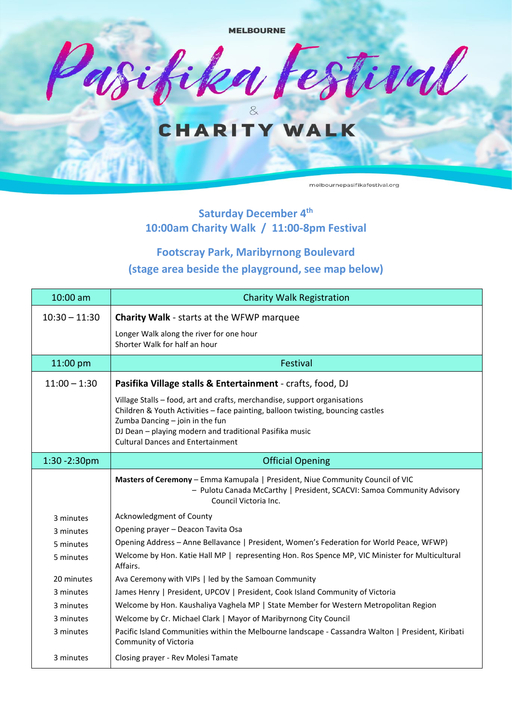

### **Saturday December 4 th 10:00am Charity Walk / 11:00-8pm Festival**

## **Footscray Park, Maribyrnong Boulevard (stage area beside the playground, see map below)**

| 10:00 am         | <b>Charity Walk Registration</b>                                                                                                                                                                                                                                                                       |  |  |
|------------------|--------------------------------------------------------------------------------------------------------------------------------------------------------------------------------------------------------------------------------------------------------------------------------------------------------|--|--|
| $10:30 - 11:30$  | <b>Charity Walk - starts at the WFWP marquee</b>                                                                                                                                                                                                                                                       |  |  |
|                  | Longer Walk along the river for one hour<br>Shorter Walk for half an hour                                                                                                                                                                                                                              |  |  |
| 11:00 pm         | Festival                                                                                                                                                                                                                                                                                               |  |  |
| $11:00 - 1:30$   | Pasifika Village stalls & Entertainment - crafts, food, DJ                                                                                                                                                                                                                                             |  |  |
|                  | Village Stalls - food, art and crafts, merchandise, support organisations<br>Children & Youth Activities - face painting, balloon twisting, bouncing castles<br>Zumba Dancing - join in the fun<br>DJ Dean - playing modern and traditional Pasifika music<br><b>Cultural Dances and Entertainment</b> |  |  |
| $1:30 - 2:30$ pm | <b>Official Opening</b>                                                                                                                                                                                                                                                                                |  |  |
|                  | Masters of Ceremony - Emma Kamupala   President, Niue Community Council of VIC<br>- Pulotu Canada McCarthy   President, SCACVI: Samoa Community Advisory<br>Council Victoria Inc.                                                                                                                      |  |  |
| 3 minutes        | Acknowledgment of County                                                                                                                                                                                                                                                                               |  |  |
| 3 minutes        | Opening prayer - Deacon Tavita Osa                                                                                                                                                                                                                                                                     |  |  |
| 5 minutes        | Opening Address - Anne Bellavance   President, Women's Federation for World Peace, WFWP)                                                                                                                                                                                                               |  |  |
| 5 minutes        | Welcome by Hon. Katie Hall MP   representing Hon. Ros Spence MP, VIC Minister for Multicultural<br>Affairs.                                                                                                                                                                                            |  |  |
| 20 minutes       | Ava Ceremony with VIPs   led by the Samoan Community                                                                                                                                                                                                                                                   |  |  |
| 3 minutes        | James Henry   President, UPCOV   President, Cook Island Community of Victoria                                                                                                                                                                                                                          |  |  |
| 3 minutes        | Welcome by Hon. Kaushaliya Vaghela MP   State Member for Western Metropolitan Region                                                                                                                                                                                                                   |  |  |
| 3 minutes        | Welcome by Cr. Michael Clark   Mayor of Maribyrnong City Council                                                                                                                                                                                                                                       |  |  |
| 3 minutes        | Pacific Island Communities within the Melbourne landscape - Cassandra Walton   President, Kiribati<br>Community of Victoria                                                                                                                                                                            |  |  |
| 3 minutes        | Closing prayer - Rev Molesi Tamate                                                                                                                                                                                                                                                                     |  |  |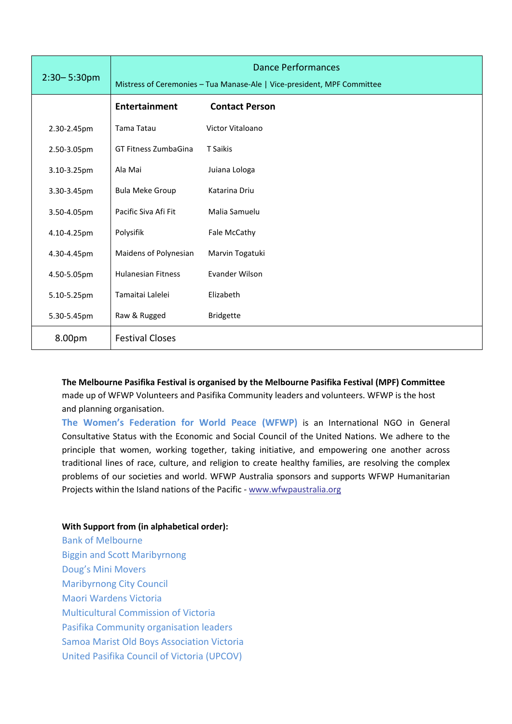| $2:30 - 5:30$ pm | <b>Dance Performances</b>                                               |                       |  |
|------------------|-------------------------------------------------------------------------|-----------------------|--|
|                  | Mistress of Ceremonies - Tua Manase-Ale   Vice-president, MPF Committee |                       |  |
|                  | <b>Entertainment</b>                                                    | <b>Contact Person</b> |  |
| 2.30-2.45pm      | Tama Tatau                                                              | Victor Vitaloano      |  |
| 2.50-3.05pm      | <b>GT Fitness ZumbaGina</b>                                             | T Saikis              |  |
| 3.10-3.25pm      | Ala Mai                                                                 | Juiana Lologa         |  |
| 3.30-3.45pm      | <b>Bula Meke Group</b>                                                  | Katarina Driu         |  |
| 3.50-4.05pm      | Pacific Siva Afi Fit                                                    | Malia Samuelu         |  |
| 4.10-4.25pm      | Polysifik                                                               | Fale McCathy          |  |
| 4.30-4.45pm      | Maidens of Polynesian                                                   | Marvin Togatuki       |  |
| 4.50-5.05pm      | <b>Hulanesian Fitness</b>                                               | Evander Wilson        |  |
| 5.10-5.25pm      | Tamaitai Lalelei                                                        | Elizabeth             |  |
| 5.30-5.45pm      | Raw & Rugged                                                            | <b>Bridgette</b>      |  |
| 8.00pm           | <b>Festival Closes</b>                                                  |                       |  |

**The Melbourne Pasifika Festival is organised by the Melbourne Pasifika Festival (MPF) Committee** made up of WFWP Volunteers and Pasifika Community leaders and volunteers. WFWP is the host and planning organisation.

**The Women's Federation for World Peace (WFWP)** is an International NGO in General Consultative Status with the Economic and Social Council of the United Nations. We adhere to the principle that women, working together, taking initiative, and empowering one another across traditional lines of race, culture, and religion to create healthy families, are resolving the complex problems of our societies and world. WFWP Australia sponsors and supports WFWP Humanitarian Projects within the Island nations of the Pacific - [www.wfwpaustralia.org](http://www.wfwpaustralia.org/)

#### **With Support from (in alphabetical order):**

Bank of Melbourne Biggin and Scott Maribyrnong Doug's Mini Movers Maribyrnong City Council Maori Wardens Victoria Multicultural Commission of Victoria Pasifika Community organisation leaders Samoa Marist Old Boys Association Victoria United Pasifika Council of Victoria (UPCOV)